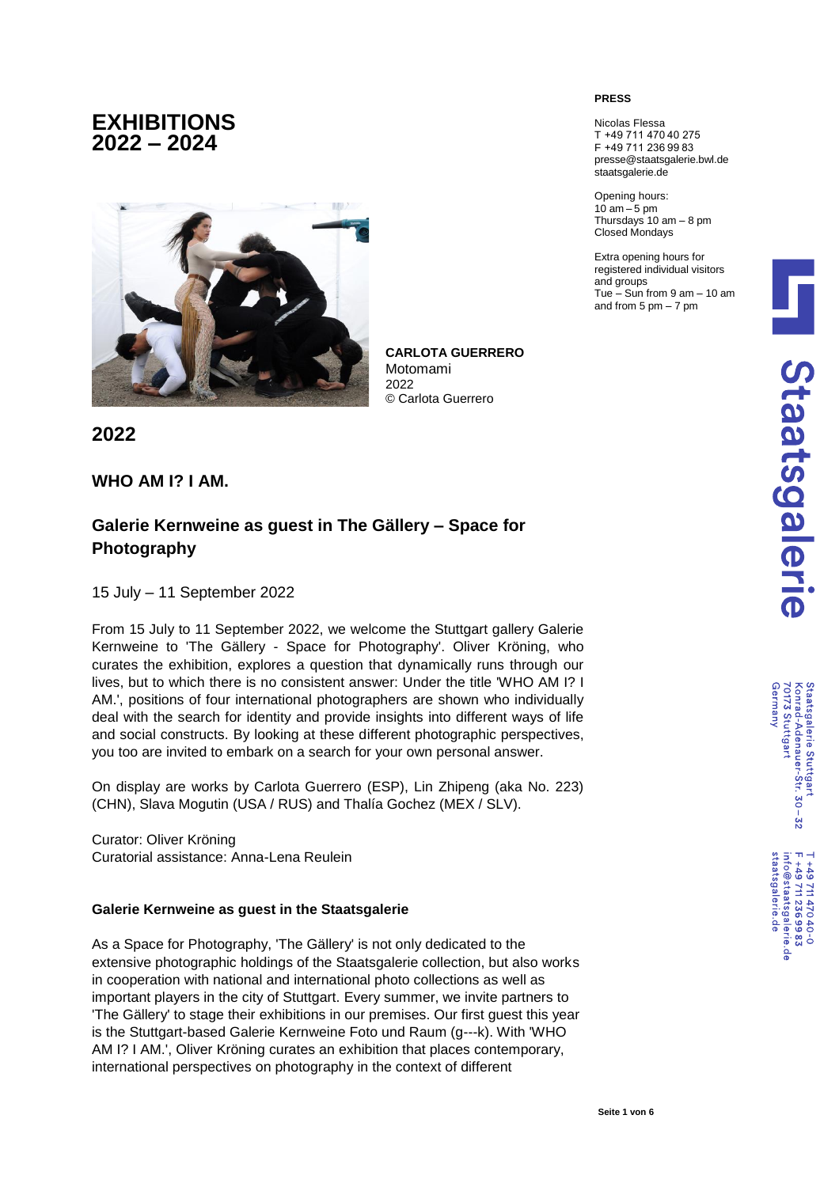# **EXHIBITIONS 2022 – 2024**



**CARLOTA GUERRERO** Motomami 2022 © Carlota Guerrero

**2022**

### **WHO AM I? I AM.**

## **Galerie Kernweine as guest in The Gällery – Space for Photography**

15 July – 11 September 2022

From 15 July to 11 September 2022, we welcome the Stuttgart gallery Galerie Kernweine to 'The Gällery - Space for Photography'. Oliver Kröning, who curates the exhibition, explores a question that dynamically runs through our lives, but to which there is no consistent answer: Under the title 'WHO AM I? I AM.', positions of four international photographers are shown who individually deal with the search for identity and provide insights into different ways of life and social constructs. By looking at these different photographic perspectives, you too are invited to embark on a search for your own personal answer.

On display are works by Carlota Guerrero (ESP), Lin Zhipeng (aka No. 223) (CHN), Slava Mogutin (USA / RUS) and Thalía Gochez (MEX / SLV).

Curator: Oliver Kröning Curatorial assistance: Anna-Lena Reulein

#### **Galerie Kernweine as guest in the Staatsgalerie**

As a Space for Photography, 'The Gällery' is not only dedicated to the extensive photographic holdings of the Staatsgalerie collection, but also works in cooperation with national and international photo collections as well as important players in the city of Stuttgart. Every summer, we invite partners to 'The Gällery' to stage their exhibitions in our premises. Our first guest this year is the Stuttgart-based Galerie Kernweine Foto und Raum (g---k). With 'WHO AM I? I AM.', Oliver Kröning curates an exhibition that places contemporary, international perspectives on photography in the context of different

#### **PRESS**

Nicolas Flessa T +49 711 470 40 275 F +49 711 236 99 83 presse@staatsgalerie.bwl.de staatsgalerie.de

Opening hours:  $10$  am  $-5$  pm Thursdays 10 am – 8 pm Closed Mondays

Extra opening hours for registered individual visitors and groups Tue – Sun from 9 am – 10 am and from  $5 \text{ pm} - 7 \text{ pm}$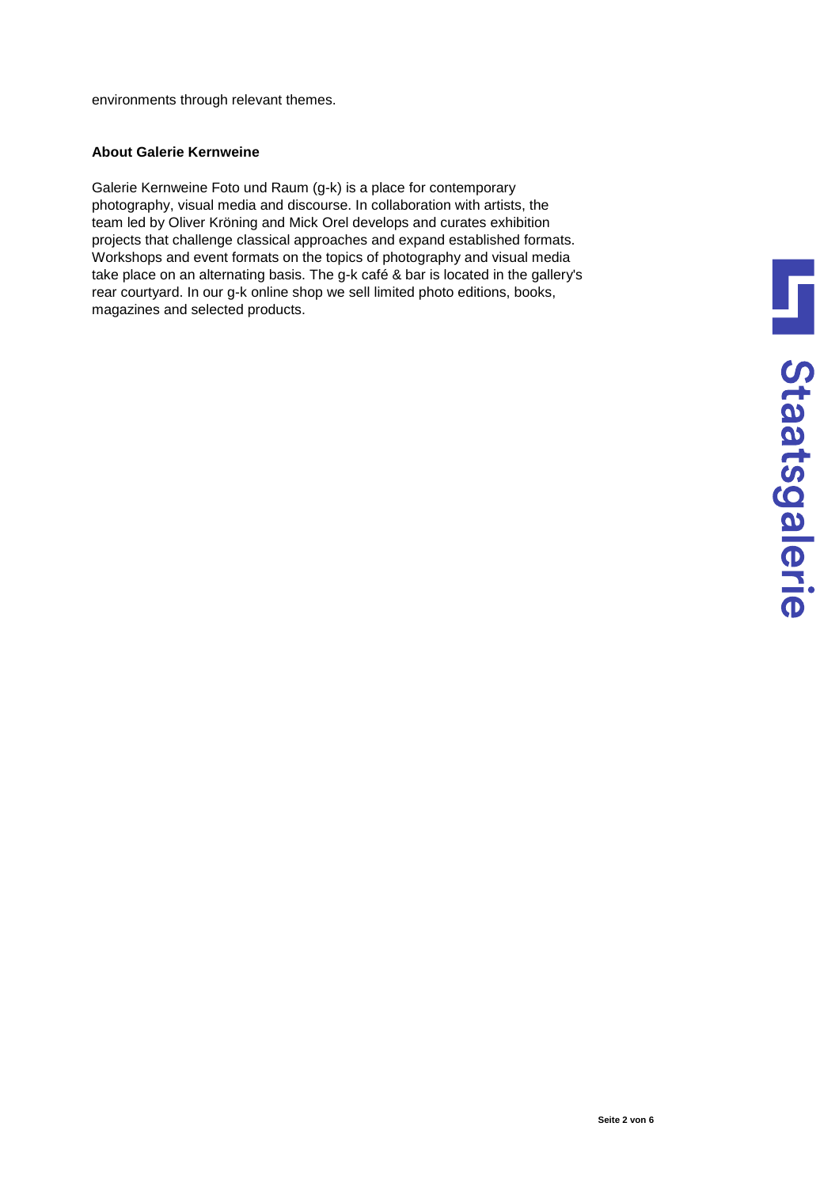environments through relevant themes.

### **About Galerie Kernweine**

Galerie Kernweine Foto und Raum (g-k) is a place for contemporary photography, visual media and discourse. In collaboration with artists, the team led by Oliver Kröning and Mick Orel develops and curates exhibition projects that challenge classical approaches and expand established formats. Workshops and event formats on the topics of photography and visual media take place on an alternating basis. The g-k café & bar is located in the gallery's rear courtyard. In our g-k online shop we sell limited photo editions, books, magazines and selected products.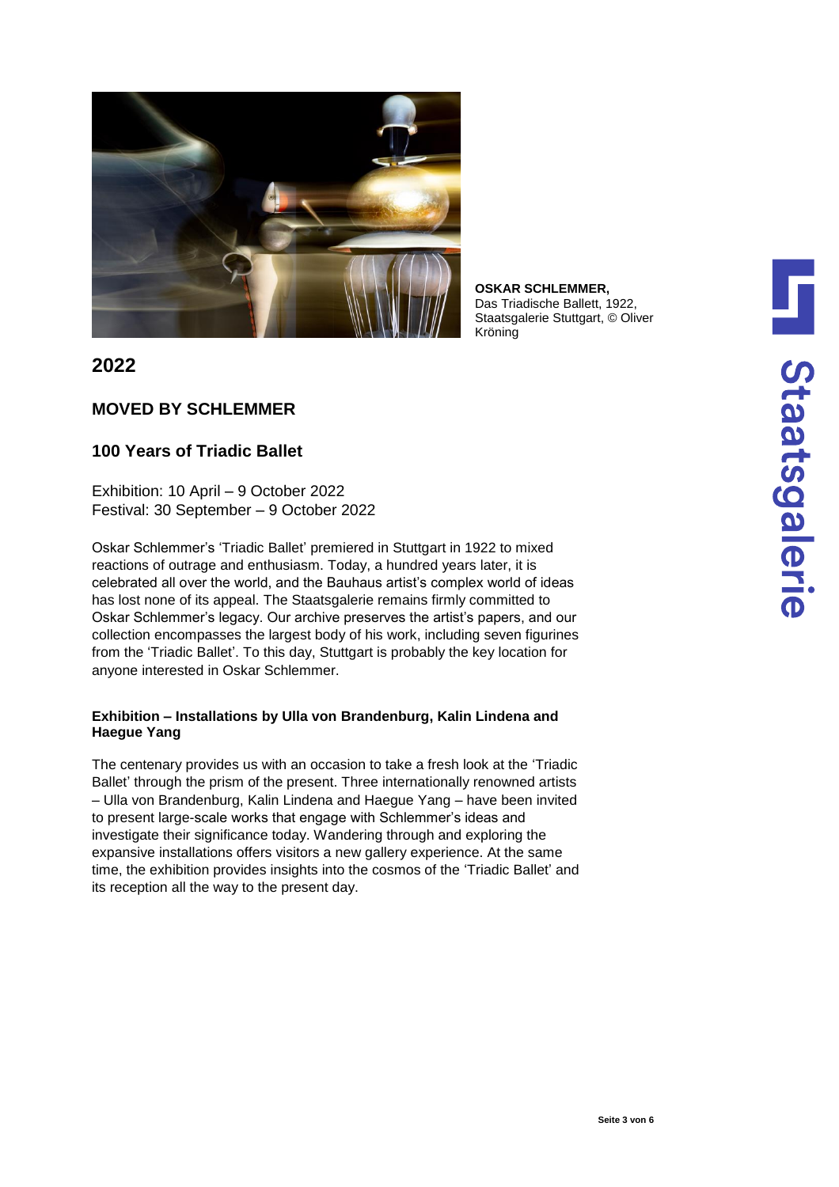

**OSKAR SCHLEMMER,** Das Triadische Ballett, 1922, Staatsgalerie Stuttgart, © Oliver Kröning

### **2022**

### **MOVED BY SCHLEMMER**

## **100 Years of Triadic Ballet**

Exhibition: 10 April – 9 October 2022 Festival: 30 September – 9 October 2022

Oskar Schlemmer's 'Triadic Ballet' premiered in Stuttgart in 1922 to mixed reactions of outrage and enthusiasm. Today, a hundred years later, it is celebrated all over the world, and the Bauhaus artist's complex world of ideas has lost none of its appeal. The Staatsgalerie remains firmly committed to Oskar Schlemmer's legacy. Our archive preserves the artist's papers, and our collection encompasses the largest body of his work, including seven figurines from the 'Triadic Ballet'. To this day, Stuttgart is probably the key location for anyone interested in Oskar Schlemmer.

### **Exhibition – Installations by Ulla von Brandenburg, Kalin Lindena and Haegue Yang**

The centenary provides us with an occasion to take a fresh look at the 'Triadic Ballet' through the prism of the present. Three internationally renowned artists – Ulla von Brandenburg, Kalin Lindena and Haegue Yang – have been invited to present large-scale works that engage with Schlemmer's ideas and investigate their significance today. Wandering through and exploring the expansive installations offers visitors a new gallery experience. At the same time, the exhibition provides insights into the cosmos of the 'Triadic Ballet' and its reception all the way to the present day.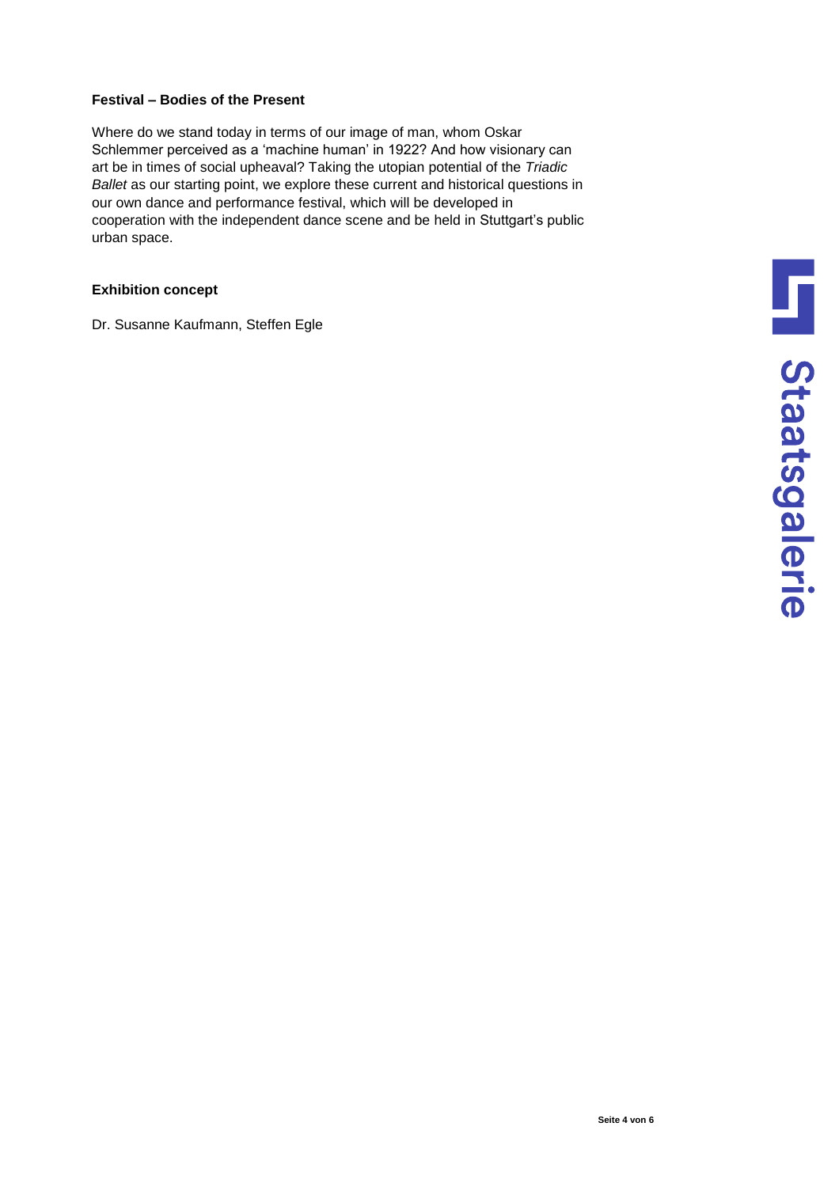#### **Festival – Bodies of the Present**

Where do we stand today in terms of our image of man, whom Oskar Schlemmer perceived as a 'machine human' in 1922? And how visionary can art be in times of social upheaval? Taking the utopian potential of the *Triadic Ballet* as our starting point, we explore these current and historical questions in our own dance and performance festival, which will be developed in cooperation with the independent dance scene and be held in Stuttgart's public urban space.

### **Exhibition concept**

Dr. Susanne Kaufmann, Steffen Egle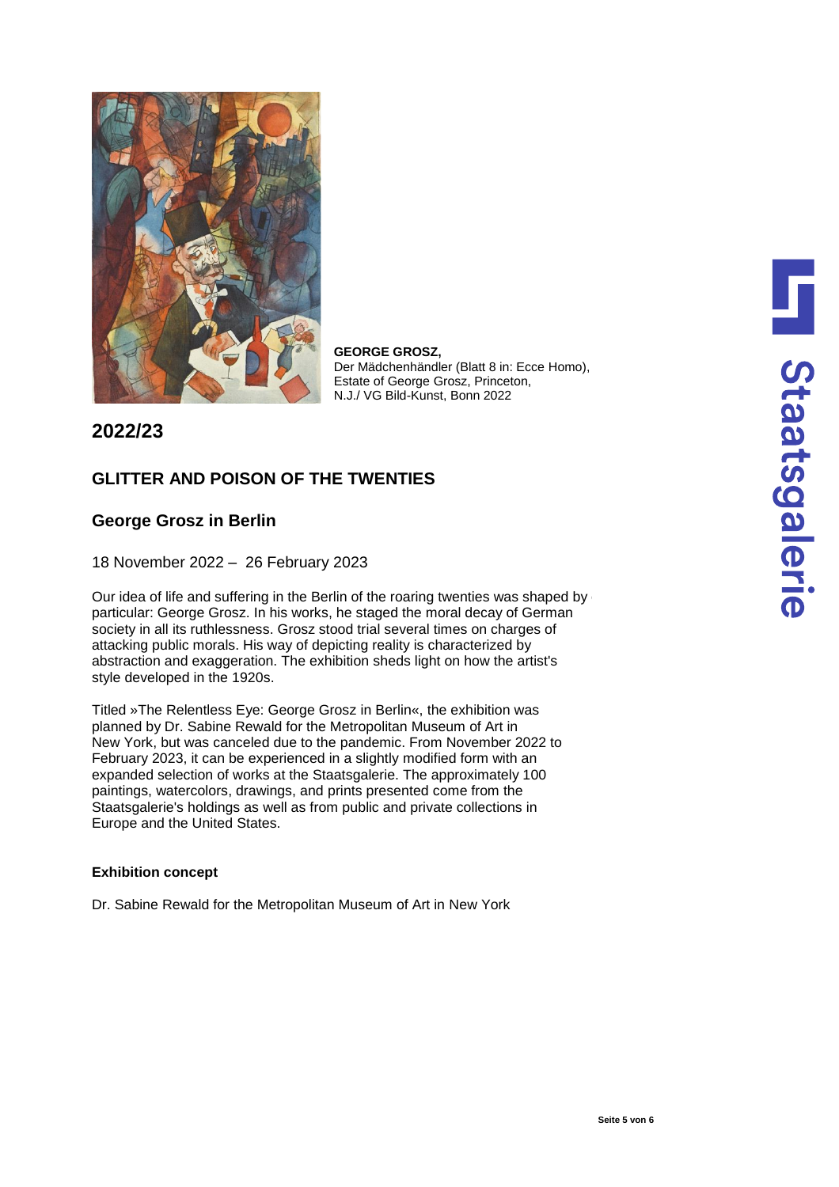

**GEORGE GROSZ,** Der Mädchenhändler (Blatt 8 in: Ecce Homo), Estate of George Grosz, Princeton, N.J./ VG Bild-Kunst, Bonn 2022

**2022/23**

## **GLITTER AND POISON OF THE TWENTIES**

### **George Grosz in Berlin**

18 November 2022 – 26 February 2023

Our idea of life and suffering in the Berlin of the roaring twenties was shaped by particular: George Grosz. In his works, he staged the moral decay of German society in all its ruthlessness. Grosz stood trial several times on charges of attacking public morals. His way of depicting reality is characterized by abstraction and exaggeration. The exhibition sheds light on how the artist's style developed in the 1920s.

Titled »The Relentless Eye: George Grosz in Berlin«, the exhibition was planned by Dr. Sabine Rewald for the Metropolitan Museum of Art in New York, but was canceled due to the pandemic. From November 2022 to February 2023, it can be experienced in a slightly modified form with an expanded selection of works at the Staatsgalerie. The approximately 100 paintings, watercolors, drawings, and prints presented come from the Staatsgalerie's holdings as well as from public and private collections in Europe and the United States.

#### **Exhibition concept**

Dr. Sabine Rewald for the Metropolitan Museum of Art in New York